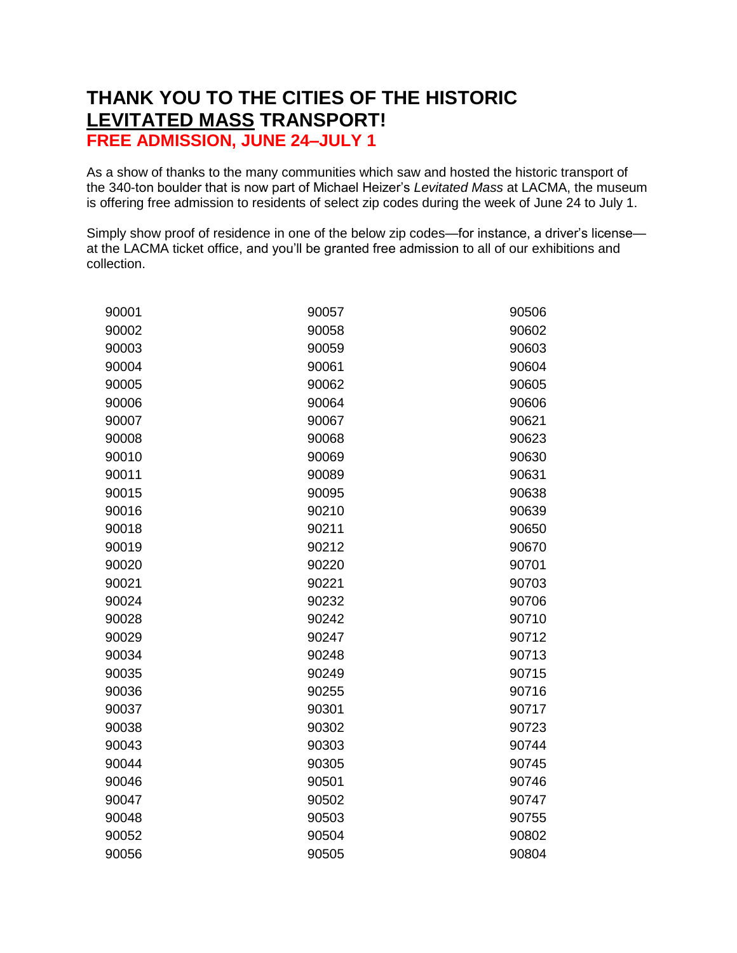## **THANK YOU TO THE CITIES OF THE HISTORIC LEVITATED MASS TRANSPORT! FREE ADMISSION, JUNE 24–JULY 1**

As a show of thanks to the many communities which saw and hosted the historic transport of the 340-ton boulder that is now part of Michael Heizer's *Levitated Mass* at LACMA, the museum is offering free admission to residents of select zip codes during the week of June 24 to July 1.

Simply show proof of residence in one of the below zip codes—for instance, a driver's license at the LACMA ticket office, and you'll be granted free admission to all of our exhibitions and collection.

| 90001 | 90057 | 90506 |
|-------|-------|-------|
| 90002 | 90058 | 90602 |
| 90003 | 90059 | 90603 |
| 90004 | 90061 | 90604 |
| 90005 | 90062 | 90605 |
| 90006 | 90064 | 90606 |
| 90007 | 90067 | 90621 |
| 90008 | 90068 | 90623 |
| 90010 | 90069 | 90630 |
| 90011 | 90089 | 90631 |
| 90015 | 90095 | 90638 |
| 90016 | 90210 | 90639 |
| 90018 | 90211 | 90650 |
| 90019 | 90212 | 90670 |
| 90020 | 90220 | 90701 |
| 90021 | 90221 | 90703 |
| 90024 | 90232 | 90706 |
| 90028 | 90242 | 90710 |
| 90029 | 90247 | 90712 |
| 90034 | 90248 | 90713 |
| 90035 | 90249 | 90715 |
| 90036 | 90255 | 90716 |
| 90037 | 90301 | 90717 |
| 90038 | 90302 | 90723 |
| 90043 | 90303 | 90744 |
| 90044 | 90305 | 90745 |
| 90046 | 90501 | 90746 |
| 90047 | 90502 | 90747 |
| 90048 | 90503 | 90755 |
| 90052 | 90504 | 90802 |
| 90056 | 90505 | 90804 |